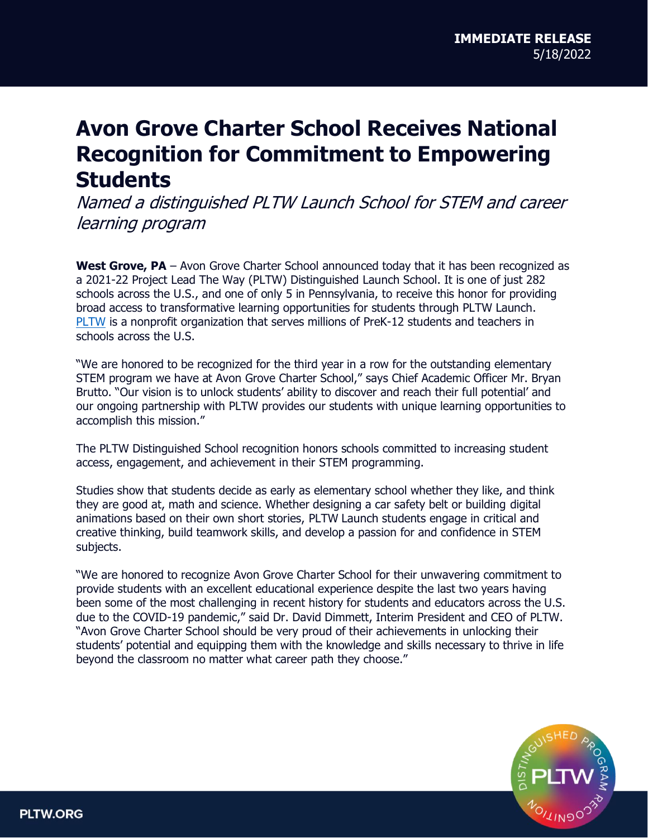## **Avon Grove Charter School Receives National Recognition for Commitment to Empowering Students**

Named a distinguished PLTW Launch School for STEM and career learning program

**West Grove, PA** – Avon Grove Charter School announced today that it has been recognized as a 2021-22 Project Lead The Way (PLTW) Distinguished Launch School. It is one of just 282 schools across the U.S., and one of only 5 in Pennsylvania, to receive this honor for providing broad access to transformative learning opportunities for students through PLTW Launch. [PLTW](http://www.pltw.org/) is a nonprofit organization that serves millions of PreK-12 students and teachers in schools across the U.S.

"We are honored to be recognized for the third year in a row for the outstanding elementary STEM program we have at Avon Grove Charter School," says Chief Academic Officer Mr. Bryan Brutto. "Our vision is to unlock students' ability to discover and reach their full potential' and our ongoing partnership with PLTW provides our students with unique learning opportunities to accomplish this mission."

The PLTW Distinguished School recognition honors schools committed to increasing student access, engagement, and achievement in their STEM programming.

Studies show that students decide as early as elementary school whether they like, and think they are good at, math and science. Whether designing a car safety belt or building digital animations based on their own short stories, PLTW Launch students engage in critical and creative thinking, build teamwork skills, and develop a passion for and confidence in STEM subjects.

"We are honored to recognize Avon Grove Charter School for their unwavering commitment to provide students with an excellent educational experience despite the last two years having been some of the most challenging in recent history for students and educators across the U.S. due to the COVID-19 pandemic," said Dr. David Dimmett, Interim President and CEO of PLTW. "Avon Grove Charter School should be very proud of their achievements in unlocking their students' potential and equipping them with the knowledge and skills necessary to thrive in life beyond the classroom no matter what career path they choose."